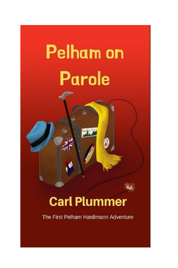# **Pelham on Parole**

# **Carl Plummer**

The First Pelham Hardimann Adventure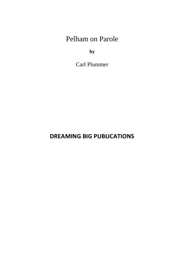Pelham on Parole

**by**

Carl Plummer

**DREAMING BIG PUBLICATIONS**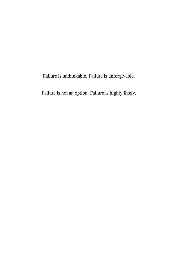Failure is unthinkable. Failure is unforgivable.

Failure is not an option. Failure is highly likely.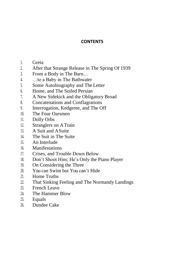#### **CONTENTS**

- 1. Greta
- 2. After that Strange Release in The Spring Of 1939
- 3. From a Body in The Barn…
- 4. …to a Baby in The Bathwater
- 5. Some Autobiography and The Letter
- 6. Home, and The Soiled Persian
- 7. A New Sidekick and the Obligatory Broad
- 8. Concatenations and Conflagrations
- 9. Interrogation, Kedgeree, and The Off
- 10. The Four Oarsmen
- 11. Dolly Orbs
- 12. Stranglers on ATrain
- 13. A Suit and ASuite
- 14. The Suit in The Suite
- 15. An Interlude
- 16. Manifestations
- 17. Crises, and Trouble Down Below
- 18. Don't Shoot Him; He's Only the Piano Player
- 19. On Considering the Three
- 20. You can Swim but You can't Hide
- 21. Home Truths
- 22. That Sinking Feeling and The Normandy Landings
- 23. French Leave
- 24. The Hammer Blow
- 25. Equals
- 26. Dundee Cake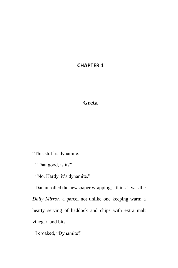### **CHAPTER 1**

## **Greta**

"This stuff is dynamite."

"That good, is it?"

"No, Hardy, it's dynamite."

Dan unrolled the newspaper wrapping; I think it was the *Daily Mirror*, a parcel not unlike one keeping warm a hearty serving of haddock and chips with extra malt vinegar, and bits.

I croaked, "Dynamite?"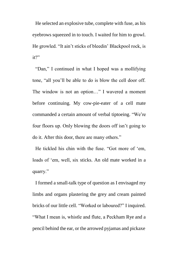He selected an explosive tube, complete with fuse, as his eyebrows squeezed in to touch. I waited for him to growl. He growled. "It ain't sticks of bleedin' Blackpool rock, is it?"

"Dan," I continued in what I hoped was a mollifying tone, "all you'll be able to do is blow the cell door off. The window is not an option…" I wavered a moment before continuing. My cow-pie-eater of a cell mate commanded a certain amount of verbal tiptoeing. "We're four floors up. Only blowing the doors off isn't going to do it. After this door, there are many others."

He tickled his chin with the fuse. "Got more of 'em, loads of 'em, well, six sticks. An old mate worked in a quarry."

I formed a small-talk type of question as I envisaged my limbs and organs plastering the grey and cream painted bricks of our little cell. "Worked or laboured?" I inquired. "What I mean is, whistle and flute, a Peckham Rye and a pencil behind the ear, or the arrowed pyjamas and pickaxe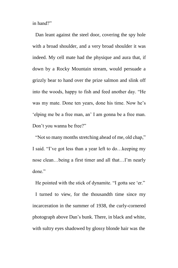in hand?"

Dan leant against the steel door, covering the spy hole with a broad shoulder, and a very broad shoulder it was indeed. My cell mate had the physique and aura that, if down by a Rocky Mountain stream, would persuade a grizzly bear to hand over the prize salmon and slink off into the woods, happy to fish and feed another day. "He was my mate. Done ten years, done his time. Now he's 'elping me be a free man, an' I am gonna be a free man. Don't you wanna be free?"

"Not so many months stretching ahead of me, old chap," I said. "I've got less than a year left to do…keeping my nose clean…being a first timer and all that…I'm nearly done."

He pointed with the stick of dynamite. "I gotta see 'er."

I turned to view, for the thousandth time since my incarceration in the summer of 1938, the curly-cornered photograph above Dan's bunk. There, in black and white, with sultry eyes shadowed by glossy blonde hair was the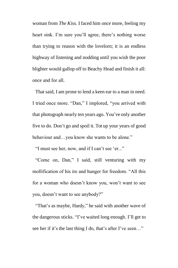woman from *The Kiss*. I faced him once more, feeling my heart sink. I'm sure you'll agree, there's nothing worse than trying to reason with the lovelorn; it is an endless highway of listening and nodding until you wish the poor blighter would gallop off to Beachy Head and finish it all: once and for all.

That said, I am prone to lend a keen ear to a man in need. I tried once more. "Dan," I implored, "you arrived with that photograph nearly ten years ago. You've only another five to do. Don't go and spoil it. Tot up your years of good behaviour and…you know she wants to be alone."

"I must see her, now, and if I can't see 'er..."

"Come on, Dan," I said, still venturing with my mollification of his ire and hunger for freedom. "All this for a woman who doesn't know you, won't want to see you, doesn't want to see anybody?"

"That's as maybe, Hardy," he said with another wave of the dangerous sticks. "I've waited long enough. I'll get to see her if it's the last thing I do, that's after I've seen…"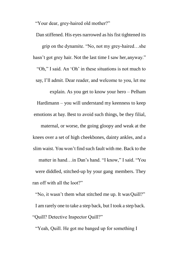"Your dear, grey-haired old mother?"

Dan stiffened. His eyes narrowed as his fist tightened its grip on the dynamite. "No, not my grey-haired…she hasn't got grey hair. Not the last time I saw her, anyway." "Oh," I said. An 'Oh' in these situations is not much to say, I'll admit. Dear reader, and welcome to you, let me explain. As you get to know your hero – Pelham Hardimann – you will understand my keenness to keep emotions at bay. Best to avoid such things, be they filial, maternal, or worse, the going gloopy and weak at the knees over a set of high cheekbones, dainty ankles, and a slim waist. You won't find such fault with me. Back to the matter in hand…in Dan's hand. "I know," I said. "You were diddled, stitched-up by your gang members. They ran off with all the loot?"

"No, it wasn't them what stitched me up. It was Quill?" I am rarely one to take a step back, but I took a step back. "Quill? Detective Inspector Quill?"

"Yeah, Quill. He got me banged up for something I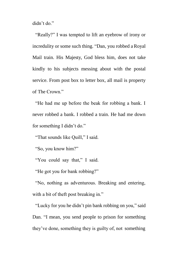didn't do."

"Really?" I was tempted to lift an eyebrow of irony or incredulity or some such thing. "Dan, you robbed a Royal Mail train. His Majesty, God bless him, does not take kindly to his subjects messing about with the postal service. From post box to letter box, all mail is property of The Crown."

"He had me up before the beak for robbing a bank. I never robbed a bank. I robbed a train. He had me down for something I didn't do."

"That sounds like Quill," I said.

"So, you know him?"

"You could say that," I said.

"He got you for bank robbing?"

"No, nothing as adventurous. Breaking and entering, with a bit of theft post breaking in."

"Lucky for you he didn't pin bank robbing on you," said Dan. "I mean, you send people to prison for something they've done, something they is guilty of, not something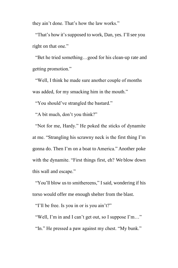they ain't done. That's how the law works."

"That's how it's supposed to work, Dan, yes. I'll see you right on that one."

"Bet he tried something…good for his clean-up rate and getting promotion."

"Well, I think he made sure another couple of months was added, for my smacking him in the mouth."

"You should've strangled the bastard."

"A bit much, don't you think?"

"Not for me, Hardy." He poked the sticks of dynamite at me. "Strangling his scrawny neck is the first thing I'm gonna do. Then I'm on a boat to America." Another poke with the dynamite. "First things first, eh? We blow down this wall and escape."

"You'll blow us to smithereens," I said, wondering if his torso would offer me enough shelter from the blast.

"I'll be free. Is you in or is you ain't?"

"Well, I'm in and I can't get out, so I suppose I'm…" "In." He pressed a paw against my chest. "My bunk."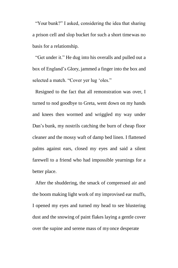"Your bunk?" I asked, considering the idea that sharing a prison cell and slop bucket for such a short timewas no basis for a relationship.

"Get under it." He dug into his overalls and pulled out a box of England's Glory, jammed a finger into the box and selected a match. "Cover yer lug 'oles."

Resigned to the fact that all remonstration was over, I turned to nod goodbye to Greta, went down on my hands and knees then wormed and wriggled my way under Dan's bunk, my nostrils catching the burn of cheap floor cleaner and the mossy waft of damp bed linen. I flattened palms against ears, closed my eyes and said a silent farewell to a friend who had impossible yearnings for a better place.

After the shuddering, the smack of compressed air and the boom making light work of my improvised ear muffs, I opened my eyes and turned my head to see blustering dust and the snowing of paint flakes laying a gentle cover over the supine and serene mass of my once desperate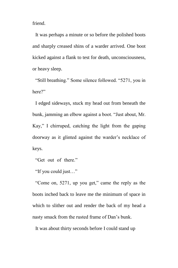friend.

It was perhaps a minute or so before the polished boots and sharply creased shins of a warder arrived. One boot kicked against a flank to test for death, unconsciousness, or heavy sleep.

"Still breathing." Some silence followed. "5271, you in here?"

I edged sideways, stuck my head out from beneath the bunk, jamming an elbow against a boot. "Just about, Mr. Kay," I chirruped, catching the light from the gaping doorway as it glinted against the warder's necklace of keys.

"Get out of there."

"If you could just…"

"Come on, 5271, up you get," came the reply as the boots inched back to leave me the minimum of space in which to slither out and render the back of my head a nasty smack from the rusted frame of Dan's bunk.

It was about thirty seconds before I could stand up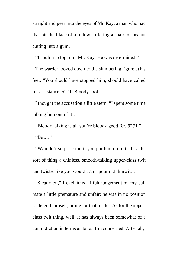straight and peer into the eyes of Mr. Kay, a man who had that pinched face of a fellow suffering a shard of peanut cutting into a gum.

"I couldn't stop him, Mr. Kay. He was determined."

The warder looked down to the slumbering figure at his feet. "You should have stopped him, should have called for assistance, 5271. Bloody fool."

I thought the accusation a little stern. "I spent some time talking him out of it…"

"Bloody talking is all you're bloody good for, 5271." "But…"

"Wouldn't surprise me if you put him up to it. Just the sort of thing a chinless, smooth-talking upper-class twit and twister like you would…this poor old dimwit…"

"Steady on," I exclaimed. I felt judgement on my cell mate a little premature and unfair; he was in no position to defend himself, or me for that matter. As for the upperclass twit thing, well, it has always been somewhat of a contradiction in terms as far as I'm concerned. After all,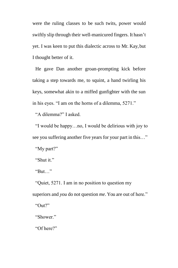were the ruling classes to be such twits, power would swiftly slip through their well-manicured fingers. It hasn't yet. I was keen to put this dialectic across to Mr. Kay,but I thought better of it.

He gave Dan another groan-prompting kick before taking a step towards me, to squint, a hand twirling his keys, somewhat akin to a miffed gunfighter with the sun in his eyes. "I am on the horns of a dilemma, 5271."

"A dilemma?" I asked.

"I would be happy…no, I would be delirious with joy to see you suffering another five years for your part in this…" "My part?"

"Shut it."

"But…"

"Quiet, 5271. I am in no position to question my superiors and *you* do not question *me*. You are out of here." "Out?"

"Shower."

"Of here?"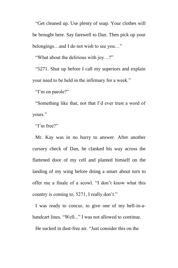"Get cleaned up. Use plenty of soap. Your clothes will be brought here. Say farewell to Dan. Then pick up your belongings…and I do not wish to see you…"

"What about the delirious with joy…?"

"5271. Shut up before I call my superiors and explain your need to be held in the infirmary for a week."

"I'm on parole?"

"Something like that, not that I'd ever trust a word of yours."

"I'm free?"

Mr. Kay was in no hurry to answer. After another cursory check of Dan, he clanked his way across the flattened door of my cell and planted himself on the landing of my wing before doing a smart about turn to offer me a finale of a scowl. "I don't know what this country is coming to, 5271, I really don't."

I was ready to concur, to give one of my hell-in-ahandcart lines. "Well..." I was not allowed to continue.

He sucked in dust-free air. "Just consider this on the